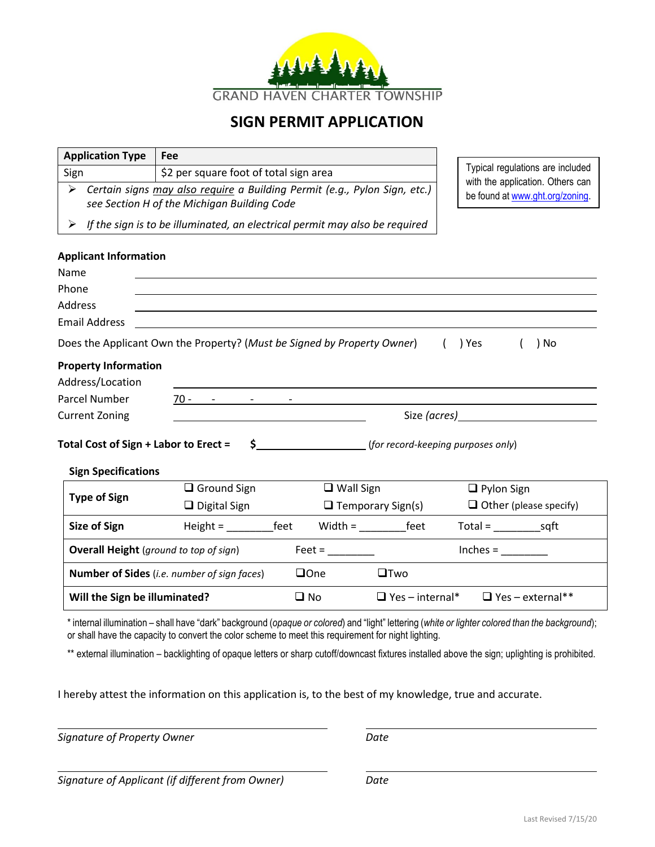

## **SIGN PERMIT APPLICATION**

| <b>Application Type</b>                                                                                                    | Fee                                                                         |                                 |                                       |                                                                                                                 |  |
|----------------------------------------------------------------------------------------------------------------------------|-----------------------------------------------------------------------------|---------------------------------|---------------------------------------|-----------------------------------------------------------------------------------------------------------------|--|
| Sign                                                                                                                       | \$2 per square foot of total sign area                                      |                                 |                                       | Typical regulations are included<br>with the application. Others can                                            |  |
| > Certain signs may also require a Building Permit (e.g., Pylon Sign, etc.)<br>see Section H of the Michigan Building Code |                                                                             | be found at www.ght.org/zoning. |                                       |                                                                                                                 |  |
| ➤                                                                                                                          | If the sign is to be illuminated, an electrical permit may also be required |                                 |                                       |                                                                                                                 |  |
| <b>Applicant Information</b><br>Name                                                                                       |                                                                             |                                 |                                       |                                                                                                                 |  |
| Phone                                                                                                                      |                                                                             |                                 |                                       |                                                                                                                 |  |
| Address                                                                                                                    |                                                                             |                                 |                                       |                                                                                                                 |  |
| <b>Email Address</b>                                                                                                       |                                                                             |                                 |                                       |                                                                                                                 |  |
|                                                                                                                            | Does the Applicant Own the Property? (Must be Signed by Property Owner)     |                                 | ( ) Yes                               | ) No                                                                                                            |  |
| <b>Property Information</b>                                                                                                |                                                                             |                                 |                                       |                                                                                                                 |  |
| Address/Location                                                                                                           |                                                                             |                                 |                                       |                                                                                                                 |  |
| Parcel Number                                                                                                              | $70 - 70 - 70 = 70$                                                         |                                 |                                       |                                                                                                                 |  |
| <b>Current Zoning</b>                                                                                                      |                                                                             |                                 |                                       | Size (acres) and the same state of the state of the state of the state of the state of the state of the state o |  |
| Total Cost of Sign + Labor to Erect =<br><b>Sign Specifications</b>                                                        |                                                                             |                                 | \$ (for record-keeping purposes only) |                                                                                                                 |  |
|                                                                                                                            | $\Box$ Ground Sign                                                          | $\Box$ Wall Sign                |                                       | $\Box$ Pylon Sign                                                                                               |  |
| <b>Type of Sign</b>                                                                                                        | $\Box$ Digital Sign                                                         |                                 | $\Box$ Temporary Sign(s)              | $\Box$ Other (please specify)                                                                                   |  |
| <b>Size of Sign</b>                                                                                                        |                                                                             | Height = feet Width = feet      |                                       | $Total =$ sqft                                                                                                  |  |
| <b>Overall Height</b> (ground to top of sign)                                                                              |                                                                             |                                 |                                       | $Inches =$                                                                                                      |  |
| <b>Number of Sides</b> ( <i>i.e. number of sign faces</i> )                                                                |                                                                             | $\Box$ One                      | $\square$ Two                         |                                                                                                                 |  |
| Will the Sign be illuminated?                                                                                              |                                                                             | $\square$ No                    |                                       | $\Box$ Yes - internal* $\Box$ Yes - external**                                                                  |  |

\* internal illumination – shall have "dark" background (*opaque or colored*) and "light" lettering (*white or lighter colored than the background*); or shall have the capacity to convert the color scheme to meet this requirement for night lighting.

\*\* external illumination - backlighting of opaque letters or sharp cutoff/downcast fixtures installed above the sign; uplighting is prohibited.

I hereby attest the information on this application is, to the best of my knowledge, true and accurate.

**Signature of Property Owner** Date **Date** 

L

L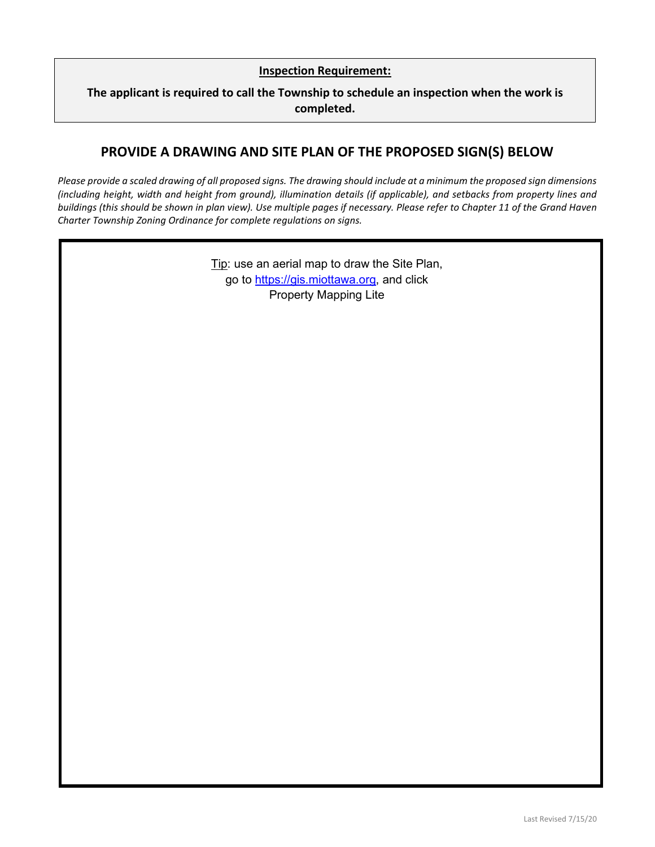### **Inspection Requirement:**

### **The applicant is required to call the Township to schedule an inspection when the work is completed.**

### **PROVIDE A DRAWING AND SITE PLAN OF THE PROPOSED SIGN(S) BELOW**

*Please provide a scaled drawing of all proposed signs. The drawing should include at a minimum the proposed sign dimensions (including height, width and height from ground), illumination details (if applicable), and setbacks from property lines and buildings (this should be shown in plan view). Use multiple pages if necessary. Please refer to Chapter 11 of the Grand Haven Charter Township Zoning Ordinance for complete regulations on signs.*

> Tip: use an aerial map to draw the Site Plan, go to [https://gis.miottawa.org,](https://gis.miottawa.org/) and click Property Mapping Lite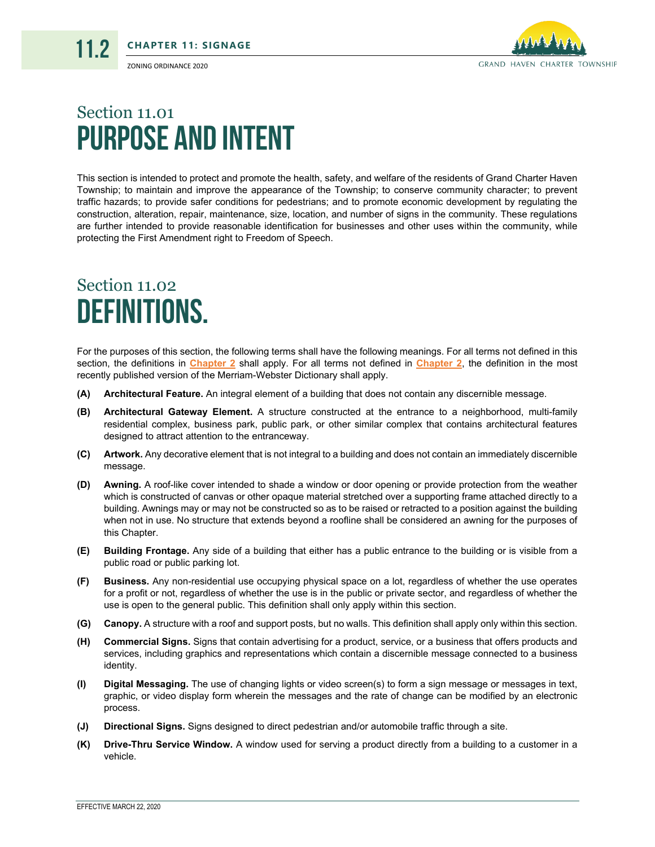11.2



# Section 11.01 Purpose and Intent

This section is intended to protect and promote the health, safety, and welfare of the residents of Grand Charter Haven Township; to maintain and improve the appearance of the Township; to conserve community character; to prevent traffic hazards; to provide safer conditions for pedestrians; and to promote economic development by regulating the construction, alteration, repair, maintenance, size, location, and number of signs in the community. These regulations are further intended to provide reasonable identification for businesses and other uses within the community, while protecting the First Amendment right to Freedom of Speech.

# Section 11.02 Definitions.

For the purposes of this section, the following terms shall have the following meanings. For all terms not defined in this section, the definitions in **Chapter 2** shall apply. For all terms not defined in **Chapter 2**, the definition in the most recently published version of the Merriam-Webster Dictionary shall apply.

- **(A) Architectural Feature.** An integral element of a building that does not contain any discernible message.
- **(B) Architectural Gateway Element.** A structure constructed at the entrance to a neighborhood, multi-family residential complex, business park, public park, or other similar complex that contains architectural features designed to attract attention to the entranceway.
- **(C) Artwork.** Any decorative element that is not integral to a building and does not contain an immediately discernible message.
- **(D) Awning.** A roof-like cover intended to shade a window or door opening or provide protection from the weather which is constructed of canvas or other opaque material stretched over a supporting frame attached directly to a building. Awnings may or may not be constructed so as to be raised or retracted to a position against the building when not in use. No structure that extends beyond a roofline shall be considered an awning for the purposes of this Chapter.
- **(E) Building Frontage.** Any side of a building that either has a public entrance to the building or is visible from a public road or public parking lot.
- **(F) Business.** Any non-residential use occupying physical space on a lot, regardless of whether the use operates for a profit or not, regardless of whether the use is in the public or private sector, and regardless of whether the use is open to the general public. This definition shall only apply within this section.
- **(G) Canopy.** A structure with a roof and support posts, but no walls. This definition shall apply only within this section.
- **(H) Commercial Signs.** Signs that contain advertising for a product, service, or a business that offers products and services, including graphics and representations which contain a discernible message connected to a business identity.
- **(I) Digital Messaging.** The use of changing lights or video screen(s) to form a sign message or messages in text, graphic, or video display form wherein the messages and the rate of change can be modified by an electronic process.
- **(J) Directional Signs.** Signs designed to direct pedestrian and/or automobile traffic through a site.
- **(K) Drive-Thru Service Window.** A window used for serving a product directly from a building to a customer in a vehicle.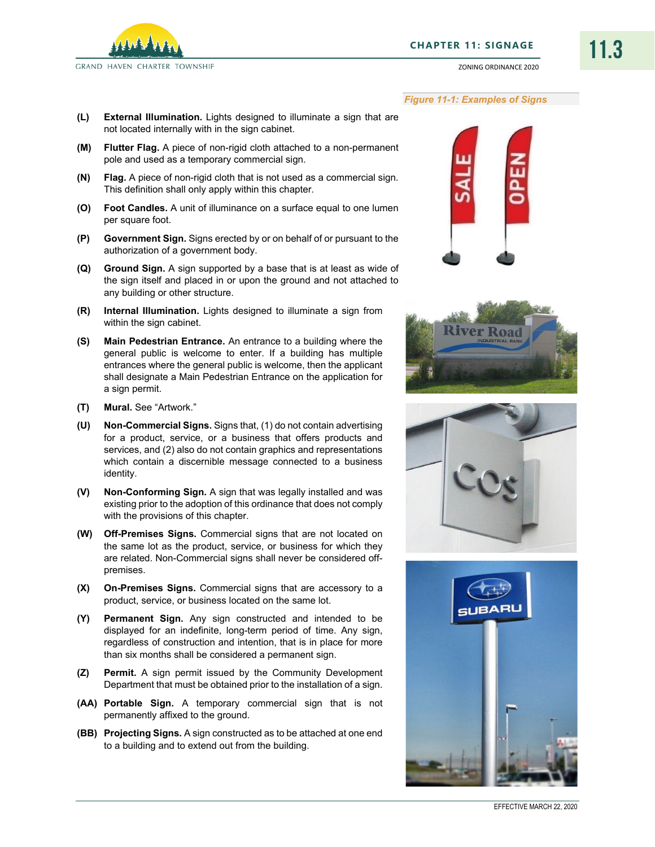

### *Figure 11-1: Examples of Signs*

ZONING ORDINANCE 2020

- **(L) External Illumination.** Lights designed to illuminate a sign that are not located internally with in the sign cabinet.
- **(M) Flutter Flag.** A piece of non-rigid cloth attached to a non-permanent pole and used as a temporary commercial sign.
- **(N) Flag.** A piece of non-rigid cloth that is not used as a commercial sign. This definition shall only apply within this chapter.
- **(O) Foot Candles.** A unit of illuminance on a surface equal to one lumen per square foot.
- **(P) Government Sign.** Signs erected by or on behalf of or pursuant to the authorization of a government body.
- **(Q) Ground Sign.** A sign supported by a base that is at least as wide of the sign itself and placed in or upon the ground and not attached to any building or other structure.
- **(R) Internal Illumination.** Lights designed to illuminate a sign from within the sign cabinet.
- **(S) Main Pedestrian Entrance.** An entrance to a building where the general public is welcome to enter. If a building has multiple entrances where the general public is welcome, then the applicant shall designate a Main Pedestrian Entrance on the application for a sign permit.
- **(T) Mural.** See "Artwork."
- **(U) Non-Commercial Signs.** Signs that, (1) do not contain advertising for a product, service, or a business that offers products and services, and (2) also do not contain graphics and representations which contain a discernible message connected to a business identity.
- **(V) Non-Conforming Sign.** A sign that was legally installed and was existing prior to the adoption of this ordinance that does not comply with the provisions of this chapter.
- **(W) Off-Premises Signs.** Commercial signs that are not located on the same lot as the product, service, or business for which they are related. Non-Commercial signs shall never be considered offpremises.
- **(X) On-Premises Signs.** Commercial signs that are accessory to a product, service, or business located on the same lot.
- **(Y) Permanent Sign.** Any sign constructed and intended to be displayed for an indefinite, long-term period of time. Any sign, regardless of construction and intention, that is in place for more than six months shall be considered a permanent sign.
- **(Z) Permit.** A sign permit issued by the Community Development Department that must be obtained prior to the installation of a sign.
- **(AA) Portable Sign.** A temporary commercial sign that is not permanently affixed to the ground.
- **(BB) Projecting Signs.** A sign constructed as to be attached at one end to a building and to extend out from the building.







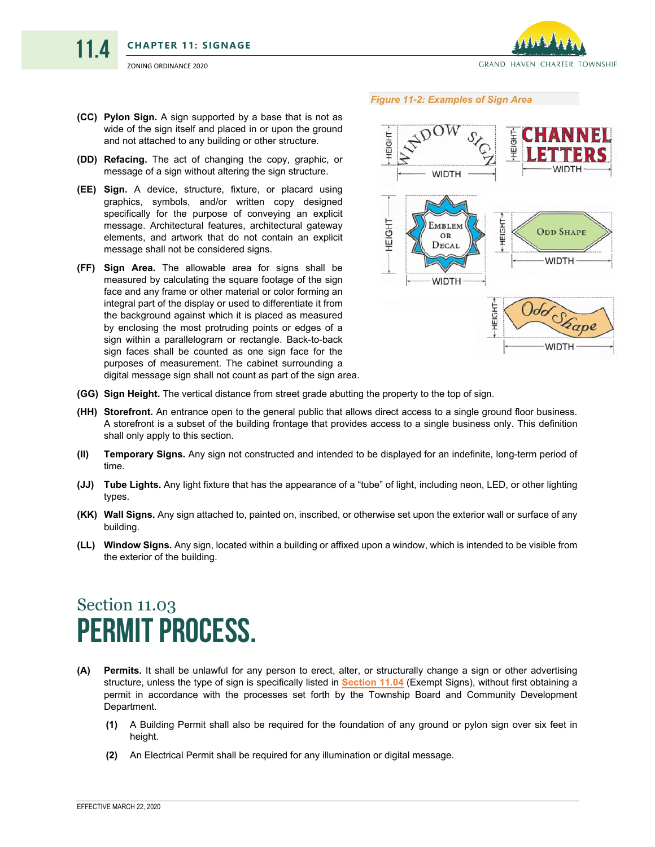

11.4

- *Figure 11-2: Examples of Sign Area*
- **(CC) Pylon Sign.** A sign supported by a base that is not as wide of the sign itself and placed in or upon the ground and not attached to any building or other structure.
- **(DD) Refacing.** The act of changing the copy, graphic, or message of a sign without altering the sign structure.
- **(EE) Sign.** A device, structure, fixture, or placard using graphics, symbols, and/or written copy designed specifically for the purpose of conveying an explicit message. Architectural features, architectural gateway elements, and artwork that do not contain an explicit message shall not be considered signs.
- **(FF) Sign Area.** The allowable area for signs shall be measured by calculating the square footage of the sign face and any frame or other material or color forming an integral part of the display or used to differentiate it from the background against which it is placed as measured by enclosing the most protruding points or edges of a sign within a parallelogram or rectangle. Back-to-back sign faces shall be counted as one sign face for the purposes of measurement. The cabinet surrounding a digital message sign shall not count as part of the sign area.



- **(GG) Sign Height.** The vertical distance from street grade abutting the property to the top of sign.
- **(HH) Storefront.** An entrance open to the general public that allows direct access to a single ground floor business. A storefront is a subset of the building frontage that provides access to a single business only. This definition shall only apply to this section.
- **(II) Temporary Signs.** Any sign not constructed and intended to be displayed for an indefinite, long-term period of time.
- **(JJ) Tube Lights.** Any light fixture that has the appearance of a "tube" of light, including neon, LED, or other lighting types.
- **(KK) Wall Signs.** Any sign attached to, painted on, inscribed, or otherwise set upon the exterior wall or surface of any building.
- **(LL) Window Signs.** Any sign, located within a building or affixed upon a window, which is intended to be visible from the exterior of the building.

## Section 11.03 Permit Process.

- **(A) Permits.** It shall be unlawful for any person to erect, alter, or structurally change a sign or other advertising structure, unless the type of sign is specifically listed in **[Section 11.04](#page-5-0)** (Exempt Signs), without first obtaining a permit in accordance with the processes set forth by the Township Board and Community Development Department.
	- **(1)** A Building Permit shall also be required for the foundation of any ground or pylon sign over six feet in height.
	- **(2)** An Electrical Permit shall be required for any illumination or digital message.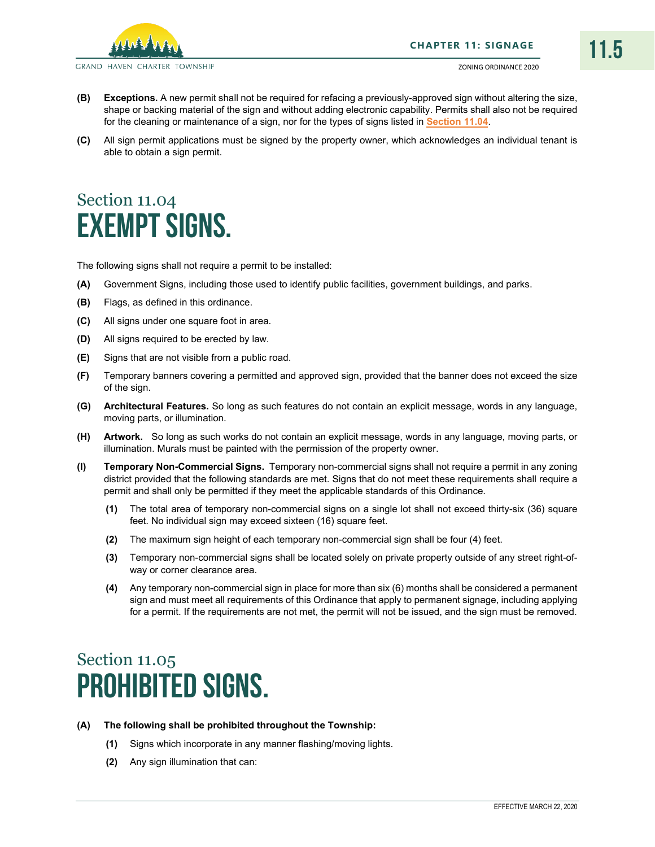

GRAND HAVEN CHARTER TOWNSHIP

- **(B) Exceptions.** A new permit shall not be required for refacing a previously-approved sign without altering the size, shape or backing material of the sign and without adding electronic capability. Permits shall also not be required for the cleaning or maintenance of a sign, nor for the types of signs listed in **[Section 11.04](#page-5-0)**.
- **(C)** All sign permit applications must be signed by the property owner, which acknowledges an individual tenant is able to obtain a sign permit.

# <span id="page-5-0"></span>Section 11.04 Exempt Signs.

The following signs shall not require a permit to be installed:

- **(A)** Government Signs, including those used to identify public facilities, government buildings, and parks.
- **(B)** Flags, as defined in this ordinance.
- **(C)** All signs under one square foot in area.
- **(D)** All signs required to be erected by law.
- **(E)** Signs that are not visible from a public road.
- **(F)** Temporary banners covering a permitted and approved sign, provided that the banner does not exceed the size of the sign.
- **(G) Architectural Features.** So long as such features do not contain an explicit message, words in any language, moving parts, or illumination.
- **(H) Artwork.** So long as such works do not contain an explicit message, words in any language, moving parts, or illumination. Murals must be painted with the permission of the property owner.
- **(I) Temporary Non-Commercial Signs.** Temporary non-commercial signs shall not require a permit in any zoning district provided that the following standards are met. Signs that do not meet these requirements shall require a permit and shall only be permitted if they meet the applicable standards of this Ordinance.
	- **(1)** The total area of temporary non-commercial signs on a single lot shall not exceed thirty-six (36) square feet. No individual sign may exceed sixteen (16) square feet.
	- **(2)** The maximum sign height of each temporary non-commercial sign shall be four (4) feet.
	- **(3)** Temporary non-commercial signs shall be located solely on private property outside of any street right-ofway or corner clearance area.
	- **(4)** Any temporary non-commercial sign in place for more than six (6) months shall be considered a permanent sign and must meet all requirements of this Ordinance that apply to permanent signage, including applying for a permit. If the requirements are not met, the permit will not be issued, and the sign must be removed.

# Section 11.05 Prohibited Signs.

- **(A) The following shall be prohibited throughout the Township:**
	- **(1)** Signs which incorporate in any manner flashing/moving lights.
	- **(2)** Any sign illumination that can: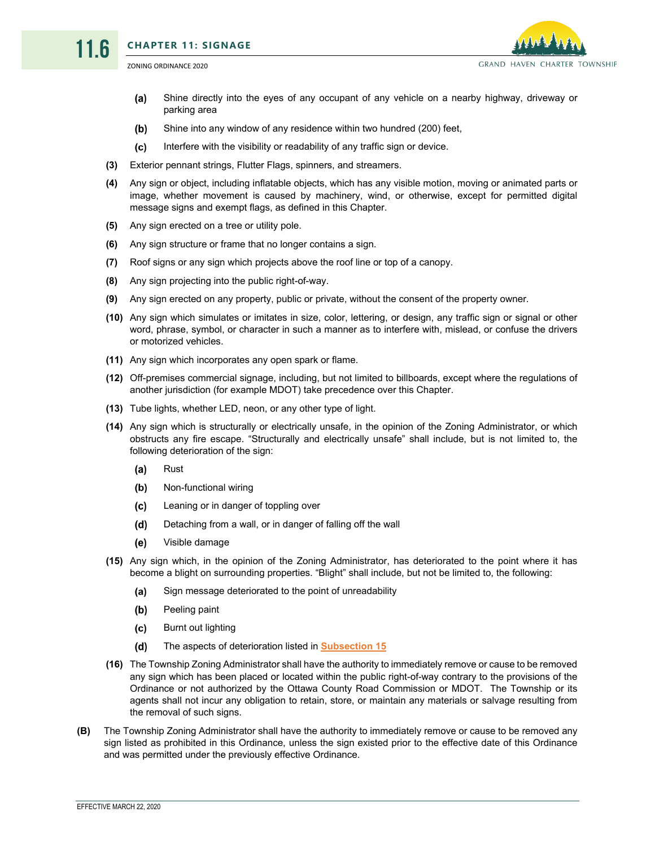11.6



- $(a)$ Shine directly into the eyes of any occupant of any vehicle on a nearby highway, driveway or parking area
- $(b)$ Shine into any window of any residence within two hundred (200) feet,
- $(c)$ Interfere with the visibility or readability of any traffic sign or device.
- **(3)** Exterior pennant strings, Flutter Flags, spinners, and streamers.
- **(4)** Any sign or object, including inflatable objects, which has any visible motion, moving or animated parts or image, whether movement is caused by machinery, wind, or otherwise, except for permitted digital message signs and exempt flags, as defined in this Chapter.
- **(5)** Any sign erected on a tree or utility pole.
- **(6)** Any sign structure or frame that no longer contains a sign.
- **(7)** Roof signs or any sign which projects above the roof line or top of a canopy.
- **(8)** Any sign projecting into the public right-of-way.
- **(9)** Any sign erected on any property, public or private, without the consent of the property owner.
- **(10)** Any sign which simulates or imitates in size, color, lettering, or design, any traffic sign or signal or other word, phrase, symbol, or character in such a manner as to interfere with, mislead, or confuse the drivers or motorized vehicles.
- **(11)** Any sign which incorporates any open spark or flame.
- **(12)** Off-premises commercial signage, including, but not limited to billboards, except where the regulations of another jurisdiction (for example MDOT) take precedence over this Chapter.
- **(13)** Tube lights, whether LED, neon, or any other type of light.
- <span id="page-6-0"></span>**(14)** Any sign which is structurally or electrically unsafe, in the opinion of the Zoning Administrator, or which obstructs any fire escape. "Structurally and electrically unsafe" shall include, but is not limited to, the following deterioration of the sign:
	- $(a)$ Rust
	- $(b)$ Non-functional wiring
	- $(c)$ Leaning or in danger of toppling over
	- $(d)$ Detaching from a wall, or in danger of falling off the wall
	- $(e)$ Visible damage
- **(15)** Any sign which, in the opinion of the Zoning Administrator, has deteriorated to the point where it has become a blight on surrounding properties. "Blight" shall include, but not be limited to, the following:
	- (a) Sign message deteriorated to the point of unreadability
	- $(b)$ Peeling paint
	- $(c)$ Burnt out lighting
	- $(d)$ The aspects of deterioration listed in **[Subsection 15](#page-6-0)**
- **(16)** The Township Zoning Administrator shall have the authority to immediately remove or cause to be removed any sign which has been placed or located within the public right-of-way contrary to the provisions of the Ordinance or not authorized by the Ottawa County Road Commission or MDOT. The Township or its agents shall not incur any obligation to retain, store, or maintain any materials or salvage resulting from the removal of such signs.
- **(B)** The Township Zoning Administrator shall have the authority to immediately remove or cause to be removed any sign listed as prohibited in this Ordinance, unless the sign existed prior to the effective date of this Ordinance and was permitted under the previously effective Ordinance.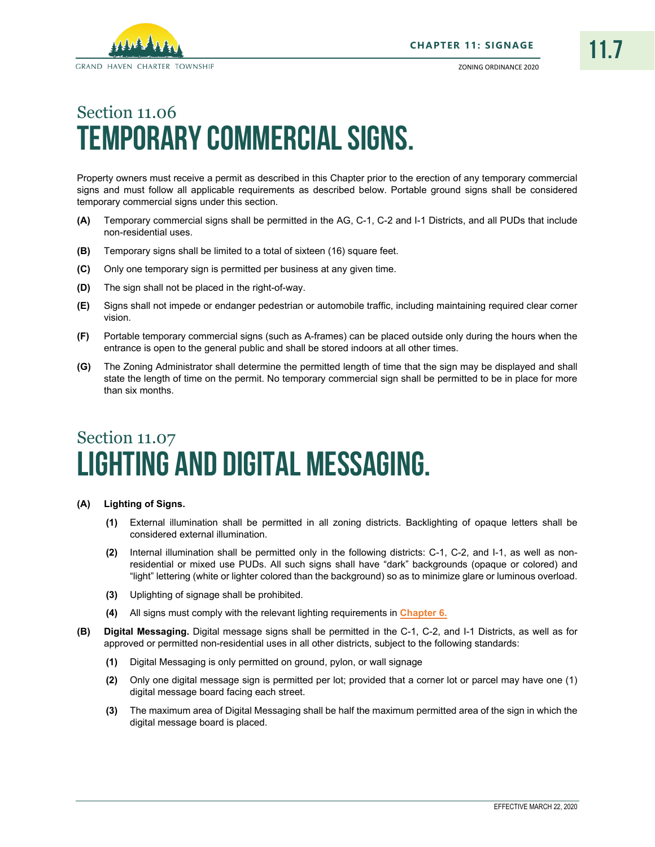

# Section 11.06 Temporary Commercial Signs.

Property owners must receive a permit as described in this Chapter prior to the erection of any temporary commercial signs and must follow all applicable requirements as described below. Portable ground signs shall be considered temporary commercial signs under this section.

- **(A)** Temporary commercial signs shall be permitted in the AG, C-1, C-2 and I-1 Districts, and all PUDs that include non-residential uses.
- **(B)** Temporary signs shall be limited to a total of sixteen (16) square feet.
- **(C)** Only one temporary sign is permitted per business at any given time.
- **(D)** The sign shall not be placed in the right-of-way.
- **(E)** Signs shall not impede or endanger pedestrian or automobile traffic, including maintaining required clear corner vision.
- **(F)** Portable temporary commercial signs (such as A-frames) can be placed outside only during the hours when the entrance is open to the general public and shall be stored indoors at all other times.
- **(G)** The Zoning Administrator shall determine the permitted length of time that the sign may be displayed and shall state the length of time on the permit. No temporary commercial sign shall be permitted to be in place for more than six months.

# Section 11.07 Lighting and Digital Messaging.

#### **(A) Lighting of Signs.**

- **(1)** External illumination shall be permitted in all zoning districts. Backlighting of opaque letters shall be considered external illumination.
- **(2)** Internal illumination shall be permitted only in the following districts: C-1, C-2, and I-1, as well as nonresidential or mixed use PUDs. All such signs shall have "dark" backgrounds (opaque or colored) and "light" lettering (white or lighter colored than the background) so as to minimize glare or luminous overload.
- **(3)** Uplighting of signage shall be prohibited.
- **(4)** All signs must comply with the relevant lighting requirements in **Chapter 6.**
- **(B) Digital Messaging.** Digital message signs shall be permitted in the C-1, C-2, and I-1 Districts, as well as for approved or permitted non-residential uses in all other districts, subject to the following standards:
	- **(1)** Digital Messaging is only permitted on ground, pylon, or wall signage
	- **(2)** Only one digital message sign is permitted per lot; provided that a corner lot or parcel may have one (1) digital message board facing each street.
	- **(3)** The maximum area of Digital Messaging shall be half the maximum permitted area of the sign in which the digital message board is placed.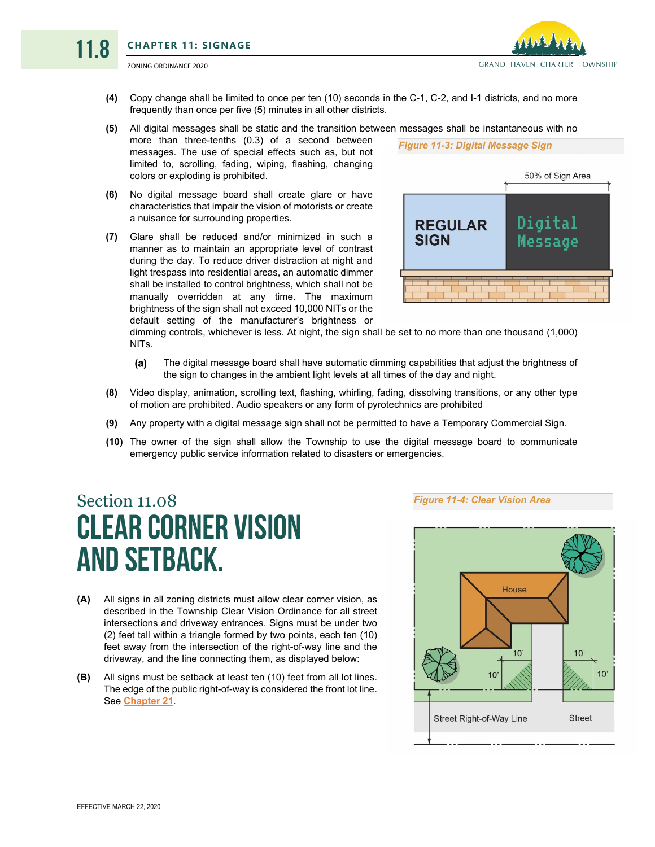11.8



**(4)** Copy change shall be limited to once per ten (10) seconds in the C-1, C-2, and I-1 districts, and no more frequently than once per five (5) minutes in all other districts.

#### **(5)** All digital messages shall be static and the transition between messages shall be instantaneous with no

- more than three-tenths (0.3) of a second between messages. The use of special effects such as, but not limited to, scrolling, fading, wiping, flashing, changing colors or exploding is prohibited.
- **(6)** No digital message board shall create glare or have characteristics that impair the vision of motorists or create a nuisance for surrounding properties.
- **(7)** Glare shall be reduced and/or minimized in such a manner as to maintain an appropriate level of contrast during the day. To reduce driver distraction at night and light trespass into residential areas, an automatic dimmer shall be installed to control brightness, which shall not be manually overridden at any time. The maximum brightness of the sign shall not exceed 10,000 NITs or the default setting of the manufacturer's brightness or



dimming controls, whichever is less. At night, the sign shall be set to no more than one thousand (1,000) NITs.

- The digital message board shall have automatic dimming capabilities that adjust the brightness of  $(a)$ the sign to changes in the ambient light levels at all times of the day and night.
- **(8)** Video display, animation, scrolling text, flashing, whirling, fading, dissolving transitions, or any other type of motion are prohibited. Audio speakers or any form of pyrotechnics are prohibited
- **(9)** Any property with a digital message sign shall not be permitted to have a Temporary Commercial Sign.
- **(10)** The owner of the sign shall allow the Township to use the digital message board to communicate emergency public service information related to disasters or emergencies.

# Section 11.08 Clear Corner Vision and Setback.

- **(A)** All signs in all zoning districts must allow clear corner vision, as described in the Township Clear Vision Ordinance for all street intersections and driveway entrances. Signs must be under two (2) feet tall within a triangle formed by two points, each ten (10) feet away from the intersection of the right-of-way line and the driveway, and the line connecting them, as displayed below:
- **(B)** All signs must be setback at least ten (10) feet from all lot lines. The edge of the public right-of-way is considered the front lot line. See **Chapter 21**.

*Figure 11-4: Clear Vision Area*

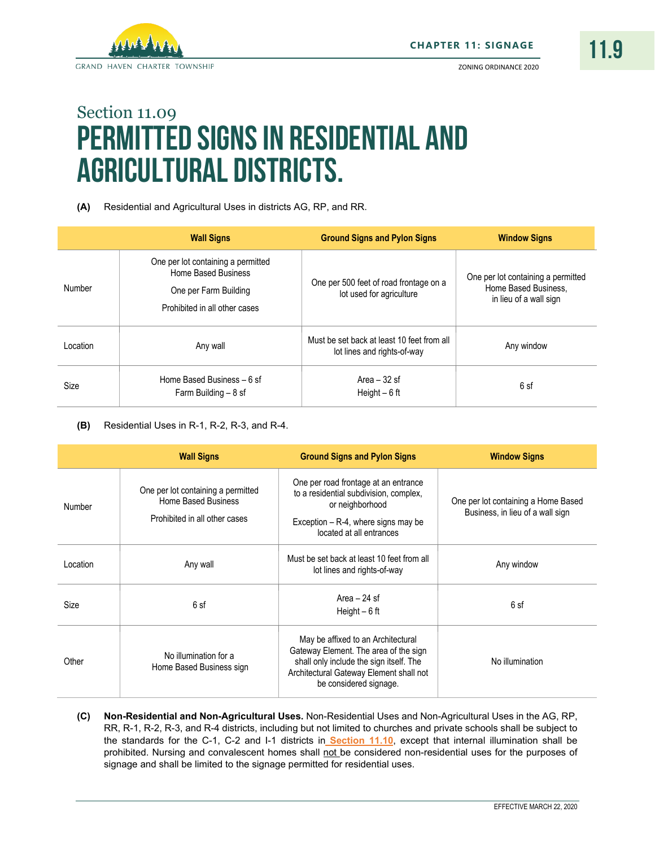

# Section 11.09 Permitted Signs in Residential and Agricultural Districts.

**(A)** Residential and Agricultural Uses in districts AG, RP, and RR.

|          | <b>Wall Signs</b>                                                                                                   | <b>Ground Signs and Pylon Signs</b>                                       | <b>Window Signs</b>                                                                  |
|----------|---------------------------------------------------------------------------------------------------------------------|---------------------------------------------------------------------------|--------------------------------------------------------------------------------------|
| Number   | One per lot containing a permitted<br>Home Based Business<br>One per Farm Building<br>Prohibited in all other cases | One per 500 feet of road frontage on a<br>lot used for agriculture        | One per lot containing a permitted<br>Home Based Business.<br>in lieu of a wall sign |
| Location | Any wall                                                                                                            | Must be set back at least 10 feet from all<br>lot lines and rights-of-way | Any window                                                                           |
| Size     | Home Based Business - 6 sf<br>Farm Building $-8$ sf                                                                 | Area $-32$ sf<br>Height $-6$ ft                                           | 6 sf                                                                                 |

**(B)** Residential Uses in R-1, R-2, R-3, and R-4.

|          | <b>Wall Signs</b>                                                                                 | <b>Ground Signs and Pylon Signs</b>                                                                                                                                                         | <b>Window Signs</b>                                                     |
|----------|---------------------------------------------------------------------------------------------------|---------------------------------------------------------------------------------------------------------------------------------------------------------------------------------------------|-------------------------------------------------------------------------|
| Number   | One per lot containing a permitted<br><b>Home Based Business</b><br>Prohibited in all other cases | One per road frontage at an entrance<br>to a residential subdivision, complex,<br>or neighborhood<br>Exception $-$ R-4, where signs may be<br>located at all entrances                      | One per lot containing a Home Based<br>Business, in lieu of a wall sign |
| Location | Any wall                                                                                          | Must be set back at least 10 feet from all<br>lot lines and rights-of-way                                                                                                                   | Any window                                                              |
| Size     | 6 sf                                                                                              | Area $-24$ sf<br>Height $-6$ ft                                                                                                                                                             | 6 sf                                                                    |
| Other    | No illumination for a<br>Home Based Business sign                                                 | May be affixed to an Architectural<br>Gateway Element. The area of the sign<br>shall only include the sign itself. The<br>Architectural Gateway Element shall not<br>be considered signage. | No illumination                                                         |

**(C) Non-Residential and Non-Agricultural Uses.** Non-Residential Uses and Non-Agricultural Uses in the AG, RP, RR, R-1, R-2, R-3, and R-4 districts, including but not limited to churches and private schools shall be subject to the standards for the C-1, C-2 and I-1 districts in **[Section](#page-10-0) 11.10**, except that internal illumination shall be prohibited. Nursing and convalescent homes shall not be considered non-residential uses for the purposes of signage and shall be limited to the signage permitted for residential uses.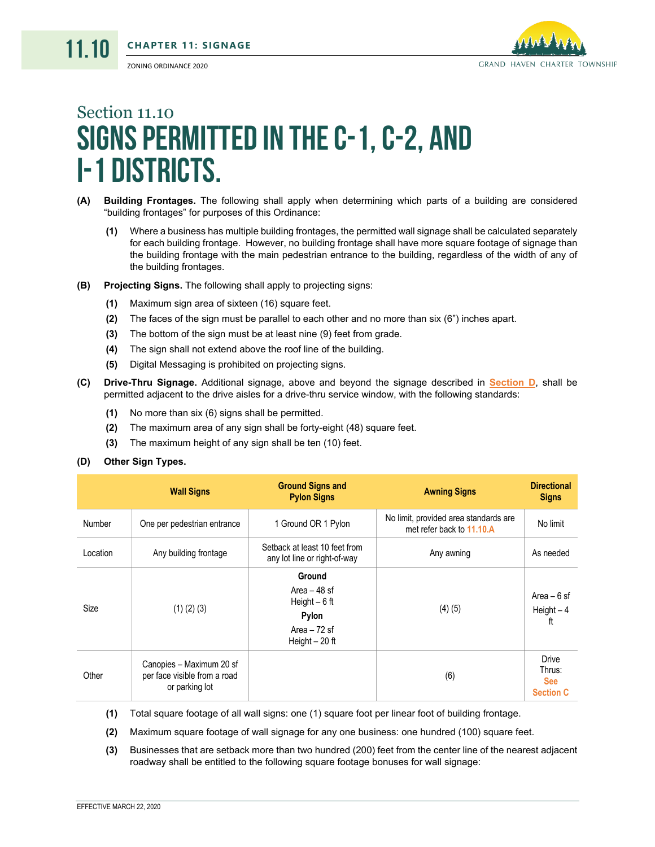

# <span id="page-10-0"></span>Section 11.10 SIGNS PERMITTED IN THE C-1, C-2, AND I-1 Districts.

- <span id="page-10-2"></span>**(A) Building Frontages.** The following shall apply when determining which parts of a building are considered "building frontages" for purposes of this Ordinance:
	- **(1)** Where a business has multiple building frontages, the permitted wall signage shall be calculated separately for each building frontage. However, no building frontage shall have more square footage of signage than the building frontage with the main pedestrian entrance to the building, regardless of the width of any of the building frontages.
- **(B) Projecting Signs.** The following shall apply to projecting signs:
	- **(1)** Maximum sign area of sixteen (16) square feet.
	- **(2)** The faces of the sign must be parallel to each other and no more than six (6") inches apart.
	- **(3)** The bottom of the sign must be at least nine (9) feet from grade.
	- **(4)** The sign shall not extend above the roof line of the building.
	- **(5)** Digital Messaging is prohibited on projecting signs.
- <span id="page-10-3"></span>**(C) Drive-Thru Signage.** Additional signage, above and beyond the signage described in **[Section D](#page-10-1)**, shall be permitted adjacent to the drive aisles for a drive-thru service window, with the following standards:
	- **(1)** No more than six (6) signs shall be permitted.
	- **(2)** The maximum area of any sign shall be forty-eight (48) square feet.
	- **(3)** The maximum height of any sign shall be ten (10) feet.

### <span id="page-10-1"></span>**(D) Other Sign Types.**

|          | <b>Wall Signs</b>                                                          | <b>Ground Signs and</b><br><b>Pylon Signs</b>                                          | <b>Awning Signs</b>                                                | <b>Directional</b><br><b>Signs</b>                       |
|----------|----------------------------------------------------------------------------|----------------------------------------------------------------------------------------|--------------------------------------------------------------------|----------------------------------------------------------|
| Number   | One per pedestrian entrance                                                | 1 Ground OR 1 Pylon                                                                    | No limit, provided area standards are<br>met refer back to 11.10.A | No limit                                                 |
| Location | Any building frontage                                                      | Setback at least 10 feet from<br>any lot line or right-of-way                          | Any awning                                                         | As needed                                                |
| Size     | $(1)$ $(2)$ $(3)$                                                          | Ground<br>Area $-48$ sf<br>Height $-6$ ft<br>Pylon<br>Area $-72$ sf<br>Height $-20$ ft | (4)(5)                                                             | Area $-6$ sf<br>$Height - 4$<br>ft                       |
| Other    | Canopies - Maximum 20 sf<br>per face visible from a road<br>or parking lot |                                                                                        | (6)                                                                | <b>Drive</b><br>Thrus:<br><b>See</b><br><b>Section C</b> |

**(1)** Total square footage of all wall signs: one (1) square foot per linear foot of building frontage.

**(2)** Maximum square footage of wall signage for any one business: one hundred (100) square feet.

**(3)** Businesses that are setback more than two hundred (200) feet from the center line of the nearest adjacent roadway shall be entitled to the following square footage bonuses for wall signage: